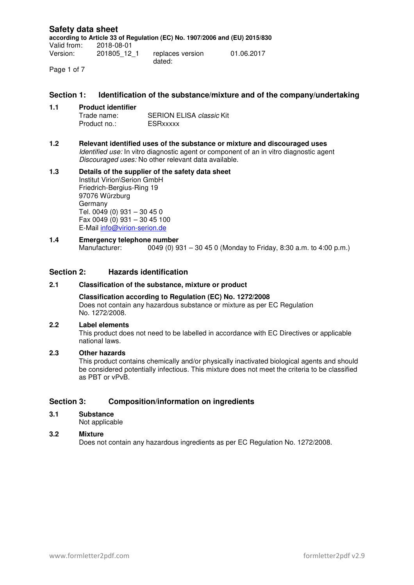#### **Safety data sheet according to Article 33 of Regulation (EC) No. 1907/2006 and (EU) 2015/830** Valid from: 2018-08-01 Version: 201805\_12\_1 replaces version dated: 01.06.2017

Page 1 of 7

#### **Section 1: Identification of the substance/mixture and of the company/undertaking**

- **1.1 Product identifier**  SERION ELISA classic Kit Product no.: ESRxxxxx
- **1.2 Relevant identified uses of the substance or mixture and discouraged uses** Identified use: In vitro diagnostic agent or component of an in vitro diagnostic agent Discouraged uses: No other relevant data available.

#### **1.3 Details of the supplier of the safety data sheet**  Institut Virion\Serion GmbH Friedrich-Bergius-Ring 19 97076 Würzburg Germany Tel. 0049 (0) 931 – 30 45 0 Fax 0049 (0) 931 – 30 45 100 E-Mail info@virion-serion.de

**1.4 Emergency telephone number**<br>Manufacturer: 0049 (0) 9 0049 (0) 931 – 30 45 0 (Monday to Friday, 8:30 a.m. to 4:00 p.m.)

## **Section 2: Hazards identification**

#### **2.1 Classification of the substance, mixture or product**

#### **Classification according to Regulation (EC) No. 1272/2008**

Does not contain any hazardous substance or mixture as per EC Regulation No. 1272/2008.

#### **2.2 Label elements**

 This product does not need to be labelled in accordance with EC Directives or applicable national laws.

#### **2.3 Other hazards**

This product contains chemically and/or physically inactivated biological agents and should be considered potentially infectious. This mixture does not meet the criteria to be classified as PBT or vPvB.

#### **Section 3: Composition/information on ingredients**

**3.1 Substance** 

Not applicable

#### **3.2 Mixture**

Does not contain any hazardous ingredients as per EC Regulation No. 1272/2008.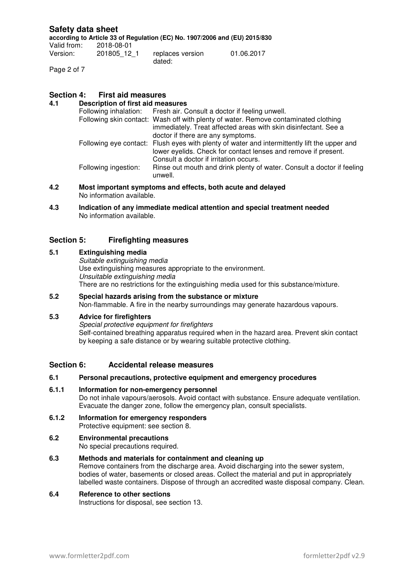**according to Article 33 of Regulation (EC) No. 1907/2006 and (EU) 2015/830**

| Valid from: | 2018-08-01  |                            |            |
|-------------|-------------|----------------------------|------------|
| Version:    | 201805 12 1 | replaces version<br>dated: | 01.06.2017 |

Page 2 of 7

## **Section 4: First aid measures**

## **4.1 Description of first aid measures**

|  |                      | Following inhalation: Fresh air. Consult a doctor if feeling unwell.                         |  |
|--|----------------------|----------------------------------------------------------------------------------------------|--|
|  |                      | Following skin contact: Wash off with plenty of water. Remove contaminated clothing          |  |
|  |                      | immediately. Treat affected areas with skin disinfectant. See a                              |  |
|  |                      | doctor if there are any symptoms.                                                            |  |
|  |                      | Following eye contact: Flush eyes with plenty of water and intermittently lift the upper and |  |
|  |                      | lower eyelids. Check for contact lenses and remove if present.                               |  |
|  |                      | Consult a doctor if irritation occurs.                                                       |  |
|  | Following ingestion: | Rinse out mouth and drink plenty of water. Consult a doctor if feeling<br>unwell.            |  |
|  |                      |                                                                                              |  |

**4.2 Most important symptoms and effects, both acute and delayed**  No information available.

**4.3 Indication of any immediate medical attention and special treatment needed**  No information available.

## **Section 5: Firefighting measures**

- **5.1 Extinguishing media**  Suitable extinguishing media Use extinguishing measures appropriate to the environment. Unsuitable extinguishing media There are no restrictions for the extinguishing media used for this substance/mixture.
- **5.2 Special hazards arising from the substance or mixture**  Non-flammable. A fire in the nearby surroundings may generate hazardous vapours.

## **5.3 Advice for firefighters**

Special protective equipment for firefighters Self-contained breathing apparatus required when in the hazard area. Prevent skin contact by keeping a safe distance or by wearing suitable protective clothing.

#### **Section 6: Accidental release measures**

#### **6.1 Personal precautions, protective equipment and emergency procedures**

#### **6.1.1 Information for non-emergency personnel**  Do not inhale vapours/aerosols. Avoid contact with substance. Ensure adequate ventilation. Evacuate the danger zone, follow the emergency plan, consult specialists.

#### **6.1.2 Information for emergency responders**  Protective equipment: see section 8.

# **6.2 Environmental precautions**

No special precautions required.

#### **6.3 Methods and materials for containment and cleaning up**

Remove containers from the discharge area. Avoid discharging into the sewer system, bodies of water, basements or closed areas. Collect the material and put in appropriately labelled waste containers. Dispose of through an accredited waste disposal company. Clean.

#### **6.4 Reference to other sections**

Instructions for disposal, see section 13.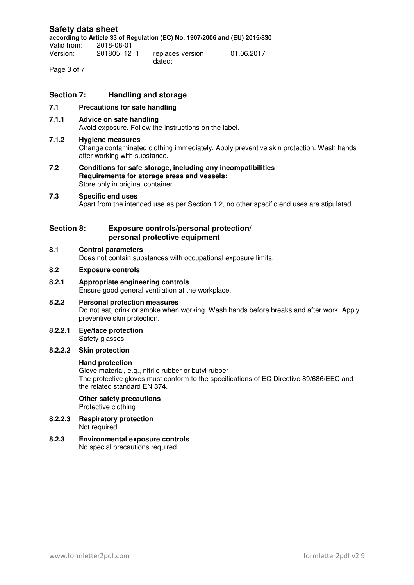**according to Article 33 of Regulation (EC) No. 1907/2006 and (EU) 2015/830**

Valid from: 2018-08-01 Version: 201805\_12\_1 replaces version dated: 01.06.2017

Page 3 of 7

## **Section 7: Handling and storage**

- **7.1 Precautions for safe handling**
- **7.1.1 Advice on safe handling**  Avoid exposure. Follow the instructions on the label.

#### **7.1.2 Hygiene measures**

Change contaminated clothing immediately. Apply preventive skin protection. Wash hands after working with substance.

**7.2 Conditions for safe storage, including any incompatibilities Requirements for storage areas and vessels:**  Store only in original container.

#### **7.3 Specific end uses**

Apart from the intended use as per Section 1.2, no other specific end uses are stipulated.

## **Section 8: Exposure controls/personal protection/ personal protective equipment**

#### **8.1 Control parameters**

Does not contain substances with occupational exposure limits.

## **8.2 Exposure controls**

#### **8.2.1 Appropriate engineering controls**  Ensure good general ventilation at the workplace.

- **8.2.2 Personal protection measures**  Do not eat, drink or smoke when working. Wash hands before breaks and after work. Apply preventive skin protection.
- **8.2.2.1 Eye/face protection**  Safety glasses

#### **8.2.2.2 Skin protection**

#### **Hand protection**

Glove material, e.g., nitrile rubber or butyl rubber The protective gloves must conform to the specifications of EC Directive 89/686/EEC and the related standard EN 374.

## **Other safety precautions**

Protective clothing

**8.2.2.3 Respiratory protection**  Not required.

# **8.2.3 Environmental exposure controls**

No special precautions required.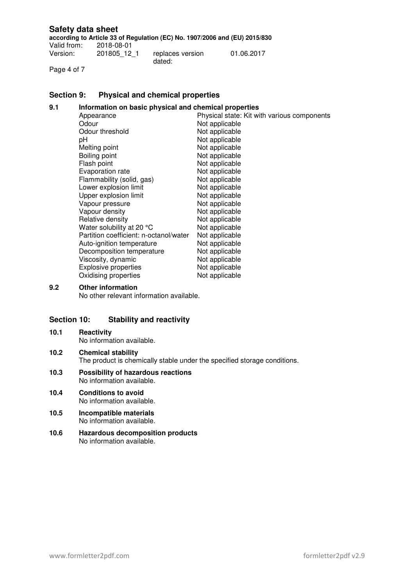**according to Article 33 of Regulation (EC) No. 1907/2006 and (EU) 2015/830**

2018-08-01<br>201805\_12\_1 Version: 201805\_12\_1 replaces version dated: 01.06.2017

Page 4 of 7

## **Section 9: Physical and chemical properties**

## **9.1 Information on basic physical and chemical properties**

| Appearance                             | Physical state: Kit with various components |
|----------------------------------------|---------------------------------------------|
| Odour                                  | Not applicable                              |
| Odour threshold                        | Not applicable                              |
| рH                                     | Not applicable                              |
| Melting point                          | Not applicable                              |
| Boiling point                          | Not applicable                              |
| Flash point                            | Not applicable                              |
| Evaporation rate                       | Not applicable                              |
| Flammability (solid, gas)              | Not applicable                              |
| Lower explosion limit                  | Not applicable                              |
| Upper explosion limit                  | Not applicable                              |
| Vapour pressure                        | Not applicable                              |
| Vapour density                         | Not applicable                              |
| Relative density                       | Not applicable                              |
| Water solubility at 20 °C              | Not applicable                              |
| Partition coefficient: n-octanol/water | Not applicable                              |
| Auto-ignition temperature              | Not applicable                              |
| Decomposition temperature              | Not applicable                              |
| Viscosity, dynamic                     | Not applicable                              |
| Explosive properties                   | Not applicable                              |
| Oxidising properties                   | Not applicable                              |

## **9.2 Other information**

No other relevant information available.

## **Section 10: Stability and reactivity**

## **10.1 Reactivity**

No information available.

- **10.2 Chemical stability**  The product is chemically stable under the specified storage conditions.
- **10.3 Possibility of hazardous reactions**  No information available.
- **10.4 Conditions to avoid**  No information available.
- **10.5 Incompatible materials**  No information available.
- **10.6 Hazardous decomposition products**  No information available.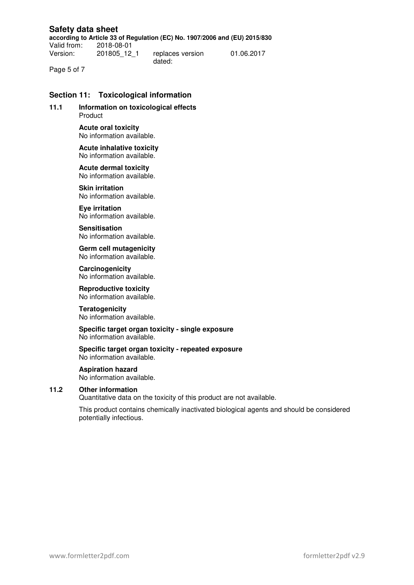**according to Article 33 of Regulation (EC) No. 1907/2006 and (EU) 2015/830**

Valid from: 2018-08-01 Version: 201805\_12\_1 replaces version

dated:

01.06.2017

Page 5 of 7

## **Section 11: Toxicological information**

**11.1 Information on toxicological effects**  Product

> **Acute oral toxicity**  No information available.

#### **Acute inhalative toxicity**  No information available.

**Acute dermal toxicity**  No information available.

**Skin irritation**  No information available.

**Eye irritation**  No information available.

**Sensitisation**  No information available.

**Germ cell mutagenicity**  No information available.

**Carcinogenicity**  No information available.

**Reproductive toxicity**  No information available.

**Teratogenicity**  No information available.

#### **Specific target organ toxicity - single exposure**  No information available.

**Specific target organ toxicity - repeated exposure**  No information available.

#### **Aspiration hazard**

No information available.

#### **11.2 Other information**

Quantitative data on the toxicity of this product are not available.

This product contains chemically inactivated biological agents and should be considered potentially infectious.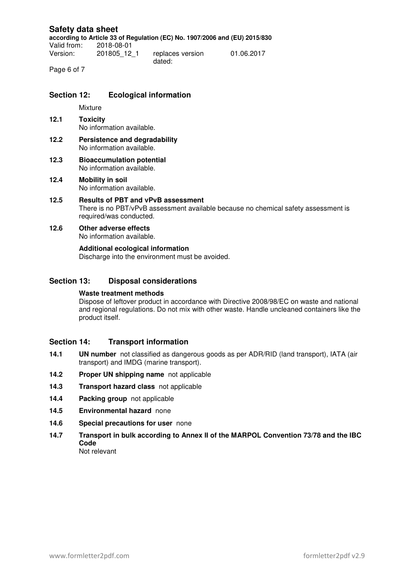**according to Article 33 of Regulation (EC) No. 1907/2006 and (EU) 2015/830**

Valid from: 2018-08-01 Version: 201805\_12\_1 replaces version dated:

01.06.2017

Page 6 of 7

## **Section 12: Ecological information**

Mixture

- **12.1 Toxicity**  No information available.
- **12.2 Persistence and degradability**  No information available.
- **12.3 Bioaccumulation potential**  No information available.
- **12.4 Mobility in soil**  No information available.

#### **12.5 Results of PBT and vPvB assessment**  There is no PBT/vPvB assessment available because no chemical safety assessment is required/was conducted.

## **12.6 Other adverse effects**

No information available.

## **Additional ecological information**

Discharge into the environment must be avoided.

## **Section 13: Disposal considerations**

#### **Waste treatment methods**

Dispose of leftover product in accordance with Directive 2008/98/EC on waste and national and regional regulations. Do not mix with other waste. Handle uncleaned containers like the product itself.

#### **Section 14: Transport information**

- **14.1 UN number** not classified as dangerous goods as per ADR/RID (land transport), IATA (air transport) and IMDG (marine transport).
- **14.2 Proper UN shipping name** not applicable
- **14.3 Transport hazard class** not applicable
- **14.4 Packing group** not applicable
- **14.5 Environmental hazard** none
- **14.6 Special precautions for user** none
- **14.7 Transport in bulk according to Annex II of the MARPOL Convention 73/78 and the IBC Code**

Not relevant